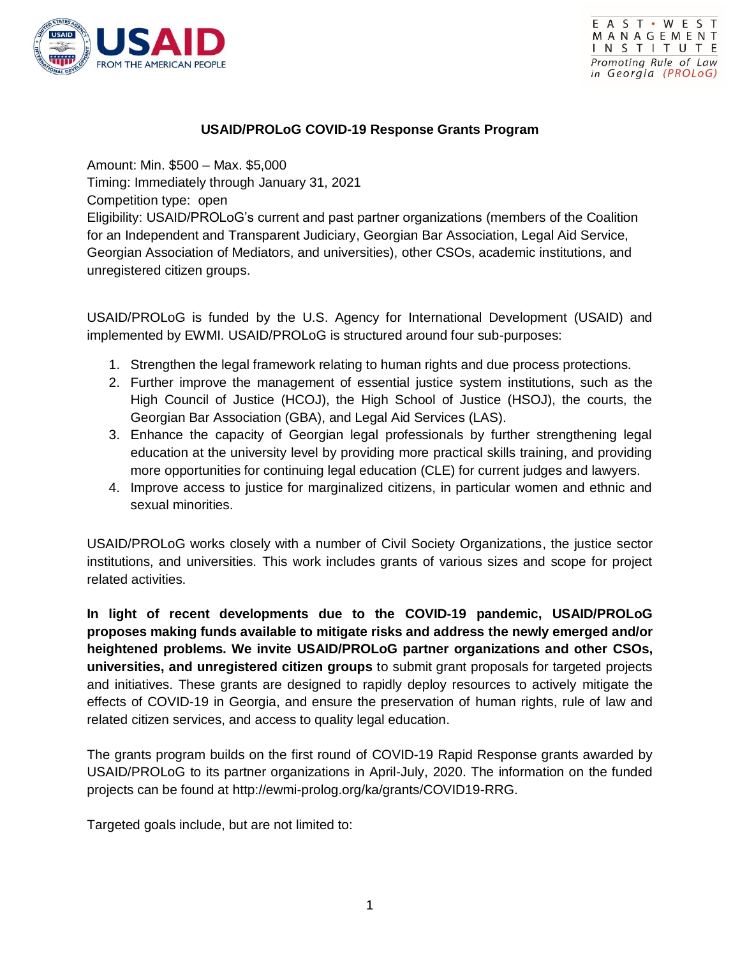



## **USAID/PROLoG COVID-19 Response Grants Program**

Amount: Min. \$500 – Max. \$5,000 Timing: Immediately through January 31, 2021 Competition type: open Eligibility: USAID/PROLoG's current and past partner organizations (members of the Coalition for an Independent and Transparent Judiciary, Georgian Bar Association, Legal Aid Service, Georgian Association of Mediators, and universities), other CSOs, academic institutions, and unregistered citizen groups.

USAID/PROLoG is funded by the U.S. Agency for International Development (USAID) and implemented by EWMI. USAID/PROLoG is structured around four sub-purposes:

- 1. Strengthen the legal framework relating to human rights and due process protections.
- 2. Further improve the management of essential justice system institutions, such as the High Council of Justice (HCOJ), the High School of Justice (HSOJ), the courts, the Georgian Bar Association (GBA), and Legal Aid Services (LAS).
- 3. Enhance the capacity of Georgian legal professionals by further strengthening legal education at the university level by providing more practical skills training, and providing more opportunities for continuing legal education (CLE) for current judges and lawyers.
- 4. Improve access to justice for marginalized citizens, in particular women and ethnic and sexual minorities.

USAID/PROLoG works closely with a number of Civil Society Organizations, the justice sector institutions, and universities. This work includes grants of various sizes and scope for project related activities.

**In light of recent developments due to the COVID-19 pandemic, USAID/PROLoG proposes making funds available to mitigate risks and address the newly emerged and/or heightened problems. We invite USAID/PROLoG partner organizations and other CSOs, universities, and unregistered citizen groups** to submit grant proposals for targeted projects and initiatives. These grants are designed to rapidly deploy resources to actively mitigate the effects of COVID-19 in Georgia, and ensure the preservation of human rights, rule of law and related citizen services, and access to quality legal education.

The grants program builds on the first round of COVID-19 Rapid Response grants awarded by USAID/PROLoG to its partner organizations in April-July, 2020. The information on the funded projects can be found at http://ewmi-prolog.org/ka/grants/COVID19-RRG.

Targeted goals include, but are not limited to: